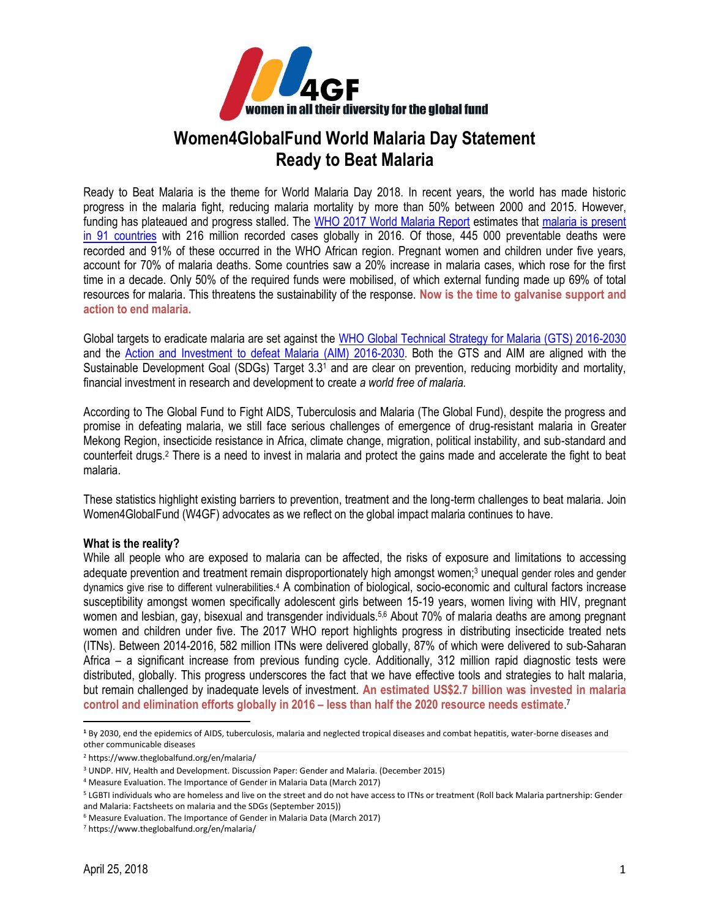

## **Women4GlobalFund World Malaria Day Statement Ready to Beat Malaria**

Ready to Beat Malaria is the theme for World Malaria Day 2018. In recent years, the world has made historic progress in the malaria fight, reducing malaria mortality by more than 50% between 2000 and 2015. However, funding has plateaued and progress stalled. The [WHO 2017 World Malaria Report](http://apps.who.int/iris/bitstream/handle/10665/259492/9789241565523-eng.pdf;jsessionid=8C8DA20DBC8282342BEEF2E0C4F01FEE?sequence=1) estimates that [malaria is present](http://www.who.int/malaria/travellers/en/)  [in 91 countries](http://www.who.int/malaria/travellers/en/) with 216 million recorded cases globally in 2016. Of those, 445 000 preventable deaths were recorded and 91% of these occurred in the WHO African region. Pregnant women and children under five years, account for 70% of malaria deaths. Some countries saw a 20% increase in malaria cases, which rose for the first time in a decade. Only 50% of the required funds were mobilised, of which external funding made up 69% of total resources for malaria. This threatens the sustainability of the response. **Now is the time to galvanise support and action to end malaria.** 

Global targets to eradicate malaria are set against the [WHO Global Technical Strategy for Malaria \(GTS\) 2016-2030](http://www.who.int/malaria/areas/global_technical_strategy/en/) and the [Action and Investment to defeat Malaria \(AIM\) 2016-2030.](https://www.rollbackmalaria.org/files/files/aim/RBM_AIM_Report_A4_EN-Sept2015.pdf) Both the GTS and AIM are aligned with the Sustainable Development Goal (SDGs) Target 3.3<sup>1</sup> and are clear on prevention, reducing morbidity and mortality, financial investment in research and development to create *a world free of malaria.*

According to [The Global Fund](https://www.theglobalfund.org/en/malaria/) to Fight AIDS, Tuberculosis and Malaria (The Global Fund), despite the progress and promise in defeating malaria, we still face serious challenges of emergence of drug-resistant malaria in Greater Mekong Region, insecticide resistance in Africa, climate change, migration, political instability, and sub-standard and counterfeit drugs.<sup>2</sup> There is a need to invest in malaria and protect the gains made and accelerate the fight to beat malaria.

These statistics highlight existing barriers to prevention, treatment and the long-term challenges to beat malaria. Join Women4GlobalFund (W4GF) advocates as we reflect on the global impact malaria continues to have.

## **What is the reality?**

While all people who are exposed to malaria can be affected, the risks of exposure and limitations to accessing adequate prevention and treatment remain disproportionately high amongst women;<sup>3</sup> unequal gender roles and gender dynamics give rise to different vulnerabilities.<sup>4</sup> A combination of biological, socio-economic and cultural factors increase susceptibility amongst women specifically adolescent girls between 15-19 years, women living with HIV, pregnant women and lesbian, gay, bisexual and transgender individuals.<sup>5,6</sup> About 70% of malaria deaths are among pregnant women and children under five. The 2017 WHO report highlights progress in distributing insecticide treated nets (ITNs). Between 2014-2016, 582 million ITNs were delivered globally, 87% of which were delivered to sub-Saharan Africa – a significant increase from previous funding cycle. Additionally, 312 million rapid diagnostic tests were distributed, globally. This progress underscores the fact that we have effective tools and strategies to halt malaria, but remain challenged by inadequate levels of investment. **An estimated US\$2.7 billion was invested in malaria control and elimination efforts globally in 2016 – less than half the 2020 resource needs estimate**. 7

 $\overline{\phantom{a}}$ 

**<sup>1</sup>** By 2030, end the epidemics of AIDS, tuberculosis, malaria and neglected tropical diseases and combat hepatitis, water-borne diseases and other communicable diseases

<sup>2</sup> https://www.theglobalfund.org/en/malaria/

<sup>3</sup> UNDP. HIV, Health and Development. Discussion Paper: Gender and Malaria. (December 2015)

<sup>4</sup> Measure Evaluation. The Importance of Gender in Malaria Data (March 2017)

<sup>5</sup> LGBTI individuals who are homeless and live on the street and do not have access to ITNs or treatment (Roll back Malaria partnership: Gender and Malaria: Factsheets on malaria and the SDGs (September 2015))

<sup>6</sup> Measure Evaluation. The Importance of Gender in Malaria Data (March 2017)

<sup>7</sup> https://www.theglobalfund.org/en/malaria/